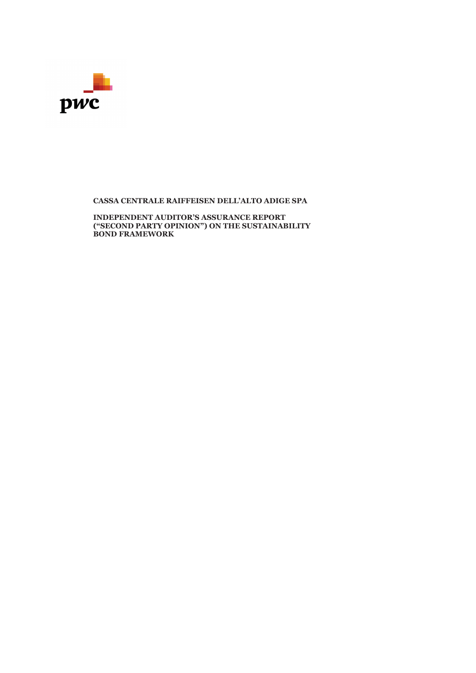

**CASSA CENTRALE RAIFFEISEN DELL'ALTO ADIGE SPA** 

**INDEPENDENT AUDITOR'S ASSURANCE REPORT ("SECOND PARTY OPINION") ON THE SUSTAINABILITY BOND FRAMEWORK**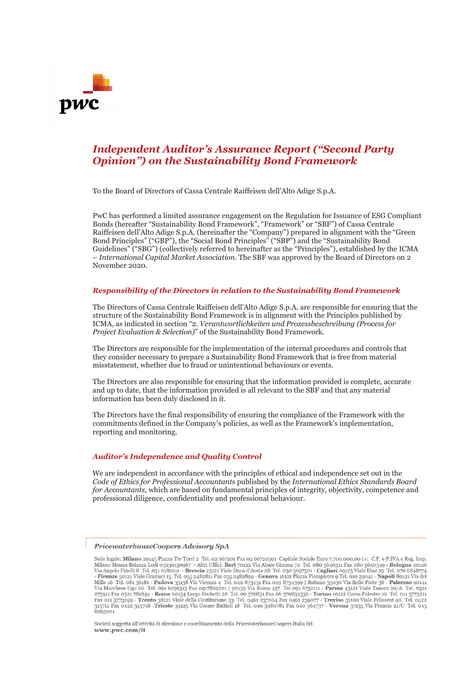

### *Independent Auditor's Assurance Report ("Second Party Opinion") on the Sustainability Bond Framework*

To the Board of Directors of Cassa Centrale Raiffeisen dell'Alto Adige S.p.A.

PwC has performed a limited assurance engagement on the Regulation for Issuance of ESG Compliant Bonds (hereafter "Sustainability Bond Framework", "Framework" or "SBF") of Cassa Centrale Raiffeisen dell'Alto Adige S.p.A. (hereinafter the "Company") prepared in alignment with the "Green Bond Principles" ("GBP"), the "Social Bond Principles" ("SBP") and the "Sustainability Bond Guidelines" ("SBG") (collectively referred to hereinafter as the "Principles"), established by the ICMA – *International Capital Market Association*. The SBF was approved by the Board of Directors on 2 November 2020.

#### *Responsibility of the Directors in relation to the Sustainability Bond Framework*

The Directors of Cassa Centrale Raiffeisen dell'Alto Adige S.p.A. are responsible for ensuring that the structure of the Sustainability Bond Framework is in alignment with the Principles published by ICMA, as indicated in section "2. *Verantwortlichkeiten und Prozessbeschreibung (Process for Project Evaluation & Selection)*" of the Sustainability Bond Framework.

The Directors are responsible for the implementation of the internal procedures and controls that they consider necessary to prepare a Sustainability Bond Framework that is free from material misstatement, whether due to fraud or unintentional behaviours or events.

The Directors are also responsible for ensuring that the information provided is complete, accurate and up to date, that the information provided is all relevant to the SBF and that any material information has been duly disclosed in it.

The Directors have the final responsibility of ensuring the compliance of the Framework with the commitments defined in the Company's policies, as well as the Framework's implementation, reporting and monitoring.

#### *Auditor's Independence and Quality Control*

We are independent in accordance with the principles of ethical and independence set out in the *Code of Ethics for Professional Accountants* published by the *International Ethics Standards Board for Accountants*, which are based on fundamental principles of integrity, objectivity, competence and professional diligence, confidentiality and professional behaviour.

#### PricewaterhouseCoopers Advisory SpA

Sede legale: Milano 20145 Piazza Tre Torri 2 Tel. 02 667201 Fax 02 66720501 Capitale Sociale Euro 7.700.000,00 i.v. C.F. e P.IVA e Reg. Imp. Sede legale: **Milano** 20145 Piazza Tre Torri 2 Tel. 02 667201 Fax 02 66720501 Capitale Sociale Euro 7.700.000,00 i.v. C.F. e P.IVA e Reg. Imp.<br>Milano Monza Brianza Lodi 03230150967 - Altri Uffici: **Bari** 70122 Via Abate Gi 8263001

Società soggetta all'attività di direzione e coordinamento della PricewaterhouseCoopers Italia Srl www.pwc.com/it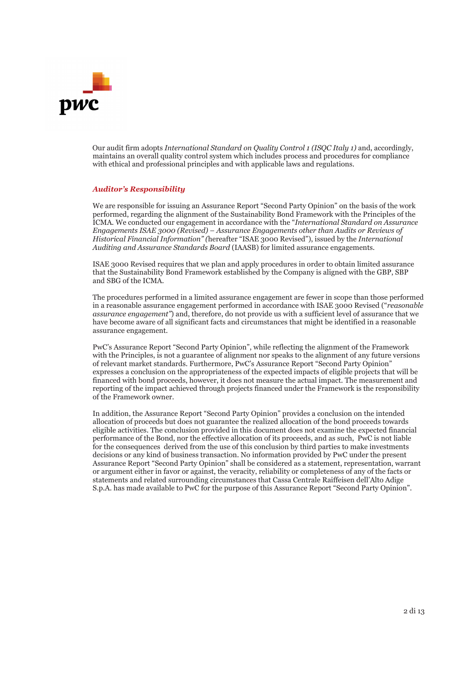

Our audit firm adopts *International Standard on Quality Control 1 (ISQC Italy 1)* and, accordingly, maintains an overall quality control system which includes process and procedures for compliance with ethical and professional principles and with applicable laws and regulations.

### *Auditor's Responsibility*

We are responsible for issuing an Assurance Report "Second Party Opinion" on the basis of the work performed, regarding the alignment of the Sustainability Bond Framework with the Principles of the ICMA. We conducted our engagement in accordance with the "*International Standard on Assurance Engagements ISAE 3000 (Revised) – Assurance Engagements other than Audits or Reviews of Historical Financial Information" (*hereafter "ISAE 3000 Revised"), issued by the *International Auditing and Assurance Standards Board* (IAASB) for limited assurance engagements.

ISAE 3000 Revised requires that we plan and apply procedures in order to obtain limited assurance that the Sustainability Bond Framework established by the Company is aligned with the GBP, SBP and SBG of the ICMA.

The procedures performed in a limited assurance engagement are fewer in scope than those performed in a reasonable assurance engagement performed in accordance with ISAE 3000 Revised ("*reasonable assurance engagement"*) and, therefore, do not provide us with a sufficient level of assurance that we have become aware of all significant facts and circumstances that might be identified in a reasonable assurance engagement.

PwC's Assurance Report "Second Party Opinion", while reflecting the alignment of the Framework with the Principles, is not a guarantee of alignment nor speaks to the alignment of any future versions of relevant market standards. Furthermore, PwC's Assurance Report "Second Party Opinion" expresses a conclusion on the appropriateness of the expected impacts of eligible projects that will be financed with bond proceeds, however, it does not measure the actual impact. The measurement and reporting of the impact achieved through projects financed under the Framework is the responsibility of the Framework owner.

In addition, the Assurance Report "Second Party Opinion" provides a conclusion on the intended allocation of proceeds but does not guarantee the realized allocation of the bond proceeds towards eligible activities. The conclusion provided in this document does not examine the expected financial performance of the Bond, nor the effective allocation of its proceeds, and as such, PwC is not liable for the consequences derived from the use of this conclusion by third parties to make investments decisions or any kind of business transaction. No information provided by PwC under the present Assurance Report "Second Party Opinion" shall be considered as a statement, representation, warrant or argument either in favor or against, the veracity, reliability or completeness of any of the facts or statements and related surrounding circumstances that Cassa Centrale Raiffeisen dell'Alto Adige S.p.A. has made available to PwC for the purpose of this Assurance Report "Second Party Opinion".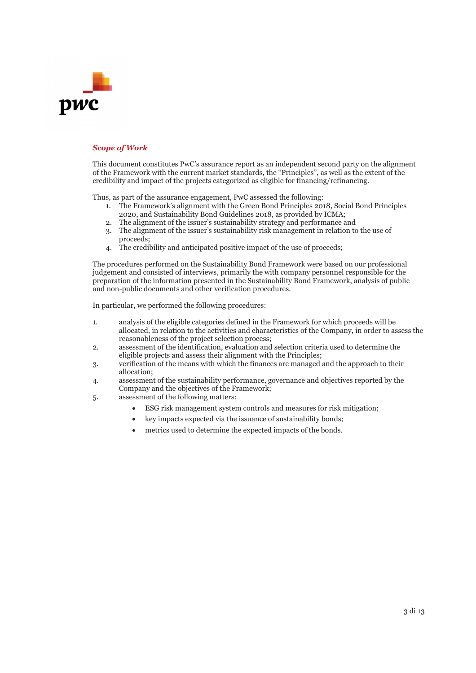

### *Scope of Work*

This document constitutes PwC's assurance report as an independent second party on the alignment of the Framework with the current market standards, the "Principles", as well as the extent of the credibility and impact of the projects categorized as eligible for financing/refinancing.

Thus, as part of the assurance engagement, PwC assessed the following:

- 1. The Framework's alignment with the Green Bond Principles 2018, Social Bond Principles 2020, and Sustainability Bond Guidelines 2018, as provided by ICMA;
- 2. The alignment of the issuer's sustainability strategy and performance and
- 3. The alignment of the issuer's sustainability risk management in relation to the use of proceeds;
- 4. The credibility and anticipated positive impact of the use of proceeds;

The procedures performed on the Sustainability Bond Framework were based on our professional judgement and consisted of interviews, primarily the with company personnel responsible for the preparation of the information presented in the Sustainability Bond Framework, analysis of public and non-public documents and other verification procedures.

In particular, we performed the following procedures:

- 1. analysis of the eligible categories defined in the Framework for which proceeds will be allocated, in relation to the activities and characteristics of the Company, in order to assess the reasonableness of the project selection process;
- 2. assessment of the identification, evaluation and selection criteria used to determine the eligible projects and assess their alignment with the Principles;
- 3. verification of the means with which the finances are managed and the approach to their allocation;
- 4. assessment of the sustainability performance, governance and objectives reported by the Company and the objectives of the Framework;
- 5. assessment of the following matters:
	- x ESG risk management system controls and measures for risk mitigation;
	- key impacts expected via the issuance of sustainability bonds;
	- metrics used to determine the expected impacts of the bonds.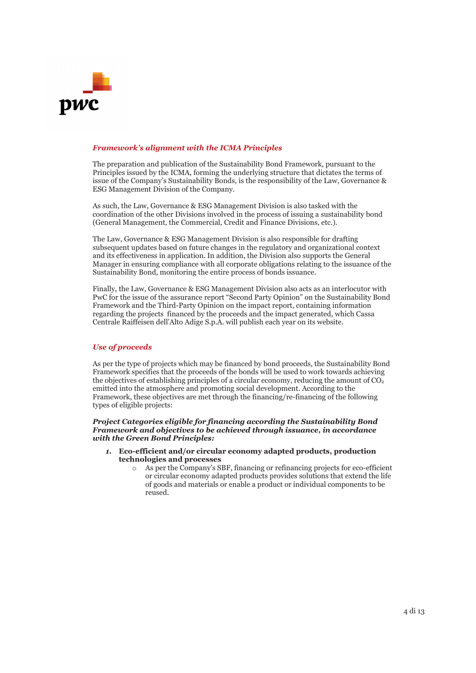

### *Framework's alignment with the ICMA Principles*

The preparation and publication of the Sustainability Bond Framework, pursuant to the Principles issued by the ICMA, forming the underlying structure that dictates the terms of issue of the Company's Sustainability Bonds, is the responsibility of the Law, Governance & ESG Management Division of the Company.

As such, the Law, Governance & ESG Management Division is also tasked with the coordination of the other Divisions involved in the process of issuing a sustainability bond (General Management, the Commercial, Credit and Finance Divisions, etc.).

The Law, Governance & ESG Management Division is also responsible for drafting subsequent updates based on future changes in the regulatory and organizational context and its effectiveness in application. In addition, the Division also supports the General Manager in ensuring compliance with all corporate obligations relating to the issuance of the Sustainability Bond, monitoring the entire process of bonds issuance.

Finally, the Law, Governance & ESG Management Division also acts as an interlocutor with PwC for the issue of the assurance report "Second Party Opinion" on the Sustainability Bond Framework and the Third-Party Opinion on the impact report, containing information regarding the projects financed by the proceeds and the impact generated, which Cassa Centrale Raiffeisen dell'Alto Adige S.p.A. will publish each year on its website.

### *Use of proceeds*

As per the type of projects which may be financed by bond proceeds, the Sustainability Bond Framework specifies that the proceeds of the bonds will be used to work towards achieving the objectives of establishing principles of a circular economy, reducing the amount of  $CO<sub>2</sub>$ emitted into the atmosphere and promoting social development. According to the Framework, these objectives are met through the financing/re-financing of the following types of eligible projects:

### *Project Categories eligible for financing according the Sustainability Bond Framework and objectives to be achieved through issuance, in accordance with the Green Bond Principles:*

- *1.* **Eco-efficient and/or circular economy adapted products, production technologies and processes**
	- o As per the Company's SBF, financing or refinancing projects for eco-efficient or circular economy adapted products provides solutions that extend the life of goods and materials or enable a product or individual components to be reused.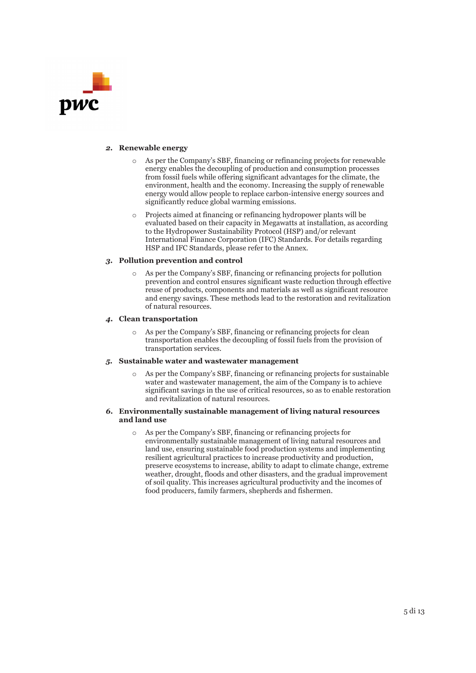

#### *2.* **Renewable energy**

- As per the Company's SBF, financing or refinancing projects for renewable energy enables the decoupling of production and consumption processes from fossil fuels while offering significant advantages for the climate, the environment, health and the economy. Increasing the supply of renewable energy would allow people to replace carbon-intensive energy sources and significantly reduce global warming emissions.
- Projects aimed at financing or refinancing hydropower plants will be evaluated based on their capacity in Megawatts at installation, as according to the Hydropower Sustainability Protocol (HSP) and/or relevant International Finance Corporation (IFC) Standards. For details regarding HSP and IFC Standards, please refer to the Annex.

### *3.* **Pollution prevention and control**

As per the Company's SBF, financing or refinancing projects for pollution prevention and control ensures significant waste reduction through effective reuse of products, components and materials as well as significant resource and energy savings. These methods lead to the restoration and revitalization of natural resources.

### *4.* **Clean transportation**

o As per the Company's SBF, financing or refinancing projects for clean transportation enables the decoupling of fossil fuels from the provision of transportation services.

#### *5.* **Sustainable water and wastewater management**

As per the Company's SBF, financing or refinancing projects for sustainable water and wastewater management, the aim of the Company is to achieve significant savings in the use of critical resources, so as to enable restoration and revitalization of natural resources.

### *6.* **Environmentally sustainable management of living natural resources and land use**

As per the Company's SBF, financing or refinancing projects for environmentally sustainable management of living natural resources and land use, ensuring sustainable food production systems and implementing resilient agricultural practices to increase productivity and production, preserve ecosystems to increase, ability to adapt to climate change, extreme weather, drought, floods and other disasters, and the gradual improvement of soil quality. This increases agricultural productivity and the incomes of food producers, family farmers, shepherds and fishermen.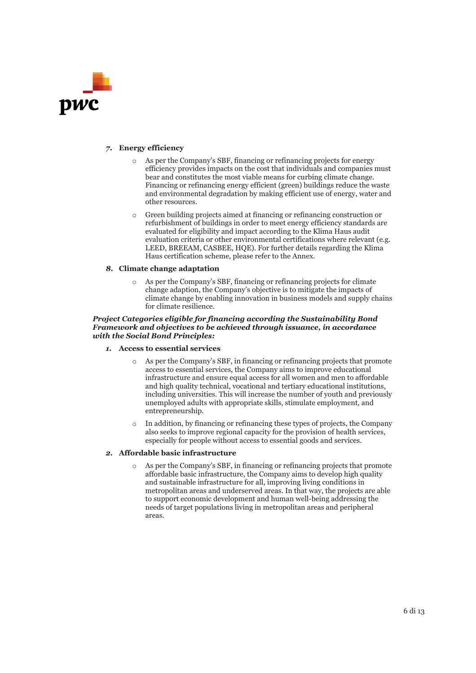

### *7.* **Energy efficiency**

- o As per the Company's SBF, financing or refinancing projects for energy efficiency provides impacts on the cost that individuals and companies must bear and constitutes the most viable means for curbing climate change. Financing or refinancing energy efficient (green) buildings reduce the waste and environmental degradation by making efficient use of energy, water and other resources.
- Green building projects aimed at financing or refinancing construction or refurbishment of buildings in order to meet energy efficiency standards are evaluated for eligibility and impact according to the Klima Haus audit evaluation criteria or other environmental certifications where relevant (e.g. LEED, BREEAM, CASBEE, HQE). For further details regarding the Klima Haus certification scheme, please refer to the Annex.

### *8.* **Climate change adaptation**

As per the Company's SBF, financing or refinancing projects for climate change adaption, the Company's objective is to mitigate the impacts of climate change by enabling innovation in business models and supply chains for climate resilience.

### *Project Categories eligible for financing according the Sustainability Bond Framework and objectives to be achieved through issuance, in accordance with the Social Bond Principles:*

- *1.* **Access to essential services**
	- o As per the Company's SBF, in financing or refinancing projects that promote access to essential services, the Company aims to improve educational infrastructure and ensure equal access for all women and men to affordable and high quality technical, vocational and tertiary educational institutions, including universities. This will increase the number of youth and previously unemployed adults with appropriate skills, stimulate employment, and entrepreneurship.
	- In addition, by financing or refinancing these types of projects, the Company also seeks to improve regional capacity for the provision of health services, especially for people without access to essential goods and services.

### *2.* **Affordable basic infrastructure**

As per the Company's SBF, in financing or refinancing projects that promote affordable basic infrastructure, the Company aims to develop high quality and sustainable infrastructure for all, improving living conditions in metropolitan areas and underserved areas. In that way, the projects are able to support economic development and human well-being addressing the needs of target populations living in metropolitan areas and peripheral areas.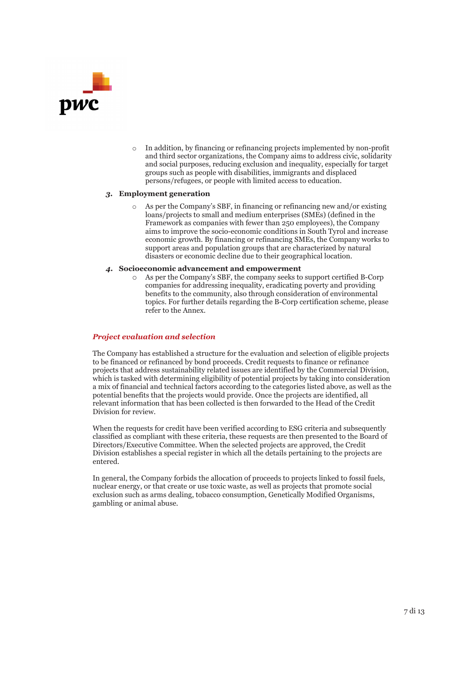

In addition, by financing or refinancing projects implemented by non-profit and third sector organizations, the Company aims to address civic, solidarity and social purposes, reducing exclusion and inequality, especially for target groups such as people with disabilities, immigrants and displaced persons/refugees, or people with limited access to education.

### *3.* **Employment generation**

- As per the Company's SBF, in financing or refinancing new and/or existing loans/projects to small and medium enterprises (SMEs) (defined in the Framework as companies with fewer than 250 employees), the Company aims to improve the socio-economic conditions in South Tyrol and increase economic growth. By financing or refinancing SMEs, the Company works to support areas and population groups that are characterized by natural disasters or economic decline due to their geographical location.
- *4.* **Socioeconomic advancement and empowerment**
	- As per the Company's SBF, the company seeks to support certified B-Corp companies for addressing inequality, eradicating poverty and providing benefits to the community, also through consideration of environmental topics. For further details regarding the B-Corp certification scheme, please refer to the Annex.

### *Project evaluation and selection*

The Company has established a structure for the evaluation and selection of eligible projects to be financed or refinanced by bond proceeds. Credit requests to finance or refinance projects that address sustainability related issues are identified by the Commercial Division, which is tasked with determining eligibility of potential projects by taking into consideration a mix of financial and technical factors according to the categories listed above, as well as the potential benefits that the projects would provide. Once the projects are identified, all relevant information that has been collected is then forwarded to the Head of the Credit Division for review.

When the requests for credit have been verified according to ESG criteria and subsequently classified as compliant with these criteria, these requests are then presented to the Board of Directors/Executive Committee. When the selected projects are approved, the Credit Division establishes a special register in which all the details pertaining to the projects are entered.

In general, the Company forbids the allocation of proceeds to projects linked to fossil fuels, nuclear energy, or that create or use toxic waste, as well as projects that promote social exclusion such as arms dealing, tobacco consumption, Genetically Modified Organisms, gambling or animal abuse.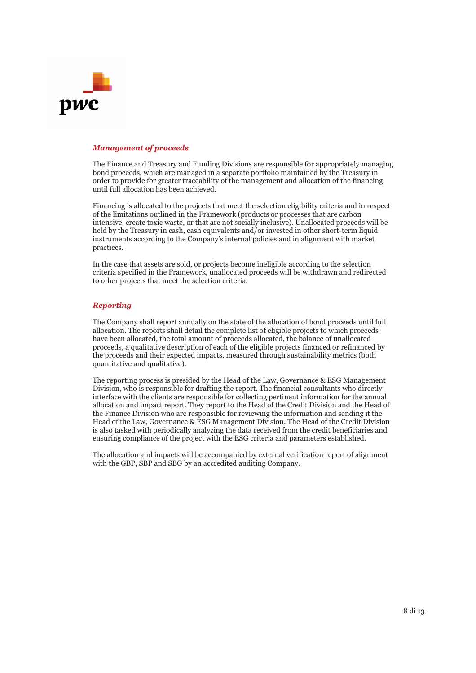

### *Management of proceeds*

The Finance and Treasury and Funding Divisions are responsible for appropriately managing bond proceeds, which are managed in a separate portfolio maintained by the Treasury in order to provide for greater traceability of the management and allocation of the financing until full allocation has been achieved.

Financing is allocated to the projects that meet the selection eligibility criteria and in respect of the limitations outlined in the Framework (products or processes that are carbon intensive, create toxic waste, or that are not socially inclusive). Unallocated proceeds will be held by the Treasury in cash, cash equivalents and/or invested in other short-term liquid instruments according to the Company's internal policies and in alignment with market practices.

In the case that assets are sold, or projects become ineligible according to the selection criteria specified in the Framework, unallocated proceeds will be withdrawn and redirected to other projects that meet the selection criteria.

### *Reporting*

The Company shall report annually on the state of the allocation of bond proceeds until full allocation. The reports shall detail the complete list of eligible projects to which proceeds have been allocated, the total amount of proceeds allocated, the balance of unallocated proceeds, a qualitative description of each of the eligible projects financed or refinanced by the proceeds and their expected impacts, measured through sustainability metrics (both quantitative and qualitative).

The reporting process is presided by the Head of the Law, Governance & ESG Management Division, who is responsible for drafting the report. The financial consultants who directly interface with the clients are responsible for collecting pertinent information for the annual allocation and impact report. They report to the Head of the Credit Division and the Head of the Finance Division who are responsible for reviewing the information and sending it the Head of the Law, Governance & ESG Management Division. The Head of the Credit Division is also tasked with periodically analyzing the data received from the credit beneficiaries and ensuring compliance of the project with the ESG criteria and parameters established.

The allocation and impacts will be accompanied by external verification report of alignment with the GBP, SBP and SBG by an accredited auditing Company.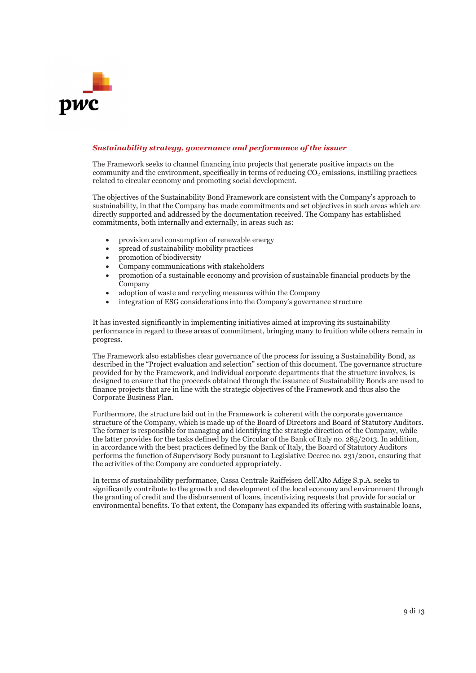

### *Sustainability strategy, governance and performance of the issuer*

The Framework seeks to channel financing into projects that generate positive impacts on the community and the environment, specifically in terms of reducing  $CO<sub>2</sub>$  emissions, instilling practices related to circular economy and promoting social development.

The objectives of the Sustainability Bond Framework are consistent with the Company's approach to sustainability, in that the Company has made commitments and set objectives in such areas which are directly supported and addressed by the documentation received. The Company has established commitments, both internally and externally, in areas such as:

- provision and consumption of renewable energy
- x spread of sustainability mobility practices
- promotion of biodiversity
- Company communications with stakeholders
- x promotion of a sustainable economy and provision of sustainable financial products by the Company
- adoption of waste and recycling measures within the Company
- integration of ESG considerations into the Company's governance structure

It has invested significantly in implementing initiatives aimed at improving its sustainability performance in regard to these areas of commitment, bringing many to fruition while others remain in progress.

The Framework also establishes clear governance of the process for issuing a Sustainability Bond, as described in the "Project evaluation and selection" section of this document. The governance structure provided for by the Framework, and individual corporate departments that the structure involves, is designed to ensure that the proceeds obtained through the issuance of Sustainability Bonds are used to finance projects that are in line with the strategic objectives of the Framework and thus also the Corporate Business Plan.

Furthermore, the structure laid out in the Framework is coherent with the corporate governance structure of the Company, which is made up of the Board of Directors and Board of Statutory Auditors. The former is responsible for managing and identifying the strategic direction of the Company, while the latter provides for the tasks defined by the Circular of the Bank of Italy no. 285/2013. In addition, in accordance with the best practices defined by the Bank of Italy, the Board of Statutory Auditors performs the function of Supervisory Body pursuant to Legislative Decree no. 231/2001, ensuring that the activities of the Company are conducted appropriately.

In terms of sustainability performance, Cassa Centrale Raiffeisen dell'Alto Adige S.p.A. seeks to significantly contribute to the growth and development of the local economy and environment through the granting of credit and the disbursement of loans, incentivizing requests that provide for social or environmental benefits. To that extent, the Company has expanded its offering with sustainable loans,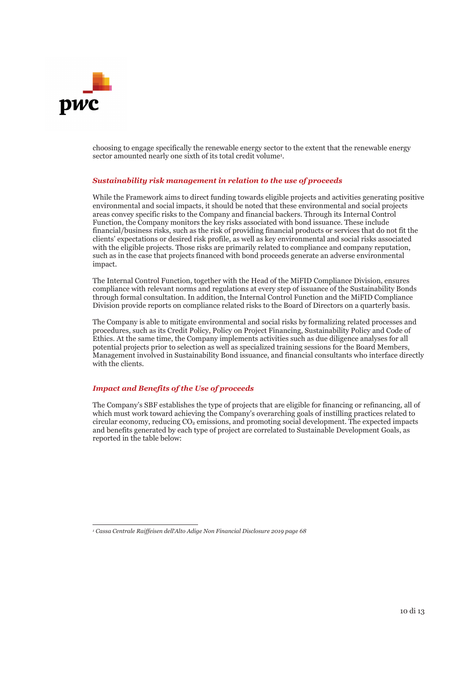

choosing to engage specifically the renewable energy sector to the extent that the renewable energy sector amounted nearly one sixth of its total credit volume<sup>1</sup>.

### *Sustainability risk management in relation to the use of proceeds*

While the Framework aims to direct funding towards eligible projects and activities generating positive environmental and social impacts, it should be noted that these environmental and social projects areas convey specific risks to the Company and financial backers. Through its Internal Control Function, the Company monitors the key risks associated with bond issuance. These include financial/business risks, such as the risk of providing financial products or services that do not fit the clients' expectations or desired risk profile, as well as key environmental and social risks associated with the eligible projects. Those risks are primarily related to compliance and company reputation, such as in the case that projects financed with bond proceeds generate an adverse environmental impact.

The Internal Control Function, together with the Head of the MiFID Compliance Division, ensures compliance with relevant norms and regulations at every step of issuance of the Sustainability Bonds through formal consultation. In addition, the Internal Control Function and the MiFID Compliance Division provide reports on compliance related risks to the Board of Directors on a quarterly basis.

The Company is able to mitigate environmental and social risks by formalizing related processes and procedures, such as its Credit Policy, Policy on Project Financing, Sustainability Policy and Code of Ethics. At the same time, the Company implements activities such as due diligence analyses for all potential projects prior to selection as well as specialized training sessions for the Board Members, Management involved in Sustainability Bond issuance, and financial consultants who interface directly with the clients.

### *Impact and Benefits of the Use of proceeds*

The Company's SBF establishes the type of projects that are eligible for financing or refinancing, all of which must work toward achieving the Company's overarching goals of instilling practices related to circular economy, reducing  $CO<sub>2</sub>$  emissions, and promoting social development. The expected impacts and benefits generated by each type of project are correlated to Sustainable Development Goals, as reported in the table below:

*<sup>1</sup> Cassa Centrale Raiffeisen dell'Alto Adige Non Financial Disclosure 2019 page 68*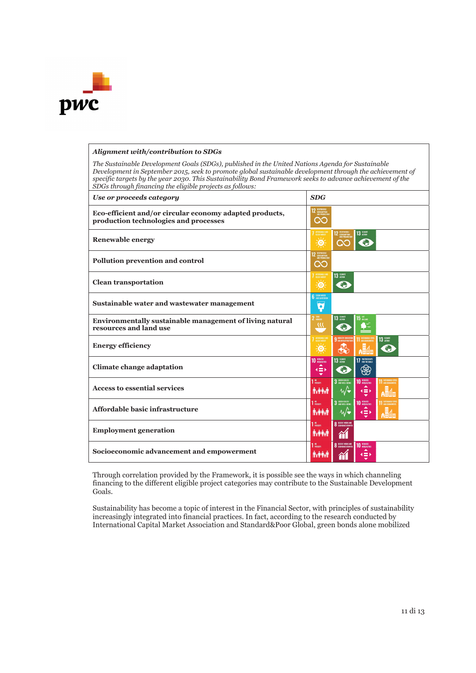

### *Alignment with/contribution to SDGs*

*The Sustainable Development Goals (SDGs), published in the United Nations Agenda for Sustainable Development in September 2015, seek to promote global sustainable development through the achievement of specific targets by the year 2030. This Sustainability Bond Framework seeks to advance achievement of the SDGs through financing the eligible projects as follows:* 

| Use or proceeds category                                                                         | <b>SDG</b>                                                                                                                                         |
|--------------------------------------------------------------------------------------------------|----------------------------------------------------------------------------------------------------------------------------------------------------|
| Eco-efficient and/or circular economy adapted products,<br>production technologies and processes | 12 AESPONSIBLE<br>AND PRODUCTION<br>QC                                                                                                             |
| <b>Renewable energy</b>                                                                          | 13 REMARK<br>12 RESPONSIBLE<br>AND PRODUCTION<br><b>CLEAN ENERGY</b><br>美<br><b>C</b><br><b>CO</b>                                                 |
| Pollution prevention and control                                                                 | $\infty$                                                                                                                                           |
| <b>Clean transportation</b>                                                                      | $13 \; \mathrm{\mu m}$<br><b>CLEAN ENERGY</b><br>$\frac{1}{2}$<br>$\bullet$                                                                        |
| Sustainable water and wastewater management                                                      | <b>6</b> CLEAN WATER<br>۵                                                                                                                          |
| <b>Environmentally sustainable management of living natural</b><br>resources and land use        | 13 GENATE<br><b>15 акме</b><br>$2 \frac{RRO}{HOMGB}$<br>32<br>$\bullet$                                                                            |
| <b>Energy efficiency</b>                                                                         | AFFOREMBLE AN<br>9 MOUSTRY, IMMOVATION<br>13 GUNATE<br>美<br>♣<br><b>C</b>                                                                          |
| <b>Climate change adaptation</b>                                                                 | 10 NEOGRAPHIES<br>13 GUMATE<br>17 PARTNERSHIPS<br>❀<br>$\leftarrow$                                                                                |
| <b>Access to essential services</b>                                                              | 3 GOOD HEALTH<br>10 REDUCED<br>11 SUSTAINABLE CITY<br>$180$ power $r$<br>$\sqrt{\bullet}$<br><b>A. PAR</b><br>$4 \equiv 8$                         |
| Affordable basic infrastructure                                                                  | 3 SODO HEALTH<br><b>10 REQUIRES</b><br>$110$ rowary<br><b>11 SUSTAINABLE CITY</b><br><b>Allel</b><br>$-\sqrt{\bullet}$<br><b>A: Print</b><br>KID K |
| <b>Employment generation</b>                                                                     | 8 DECENT WORK AND<br>$110$ rowary<br><b>Avenue</b><br>m                                                                                            |
| Socioeconomic advancement and empowerment                                                        | 8 DECENT MORK AND<br>10 REDUCED<br>$180$ PDVERTY<br><b>A</b> xterior<br>4 = >                                                                      |

Through correlation provided by the Framework, it is possible see the ways in which channeling financing to the different eligible project categories may contribute to the Sustainable Development Goals.

Sustainability has become a topic of interest in the Financial Sector, with principles of sustainability increasingly integrated into financial practices. In fact, according to the research conducted by International Capital Market Association and Standard&Poor Global, green bonds alone mobilized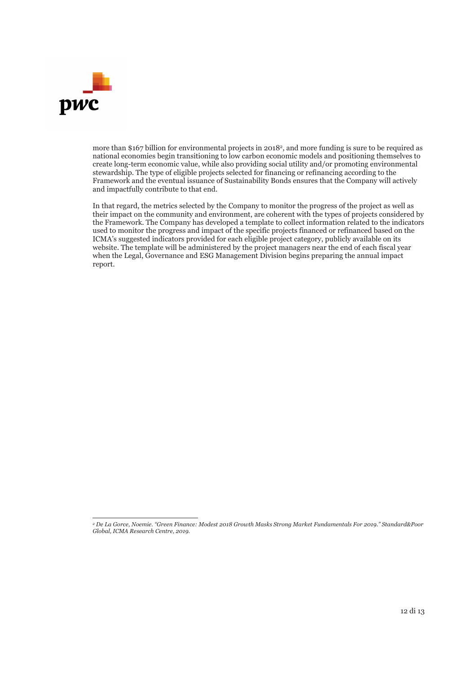

more than \$167 billion for environmental projects in 20182, and more funding is sure to be required as national economies begin transitioning to low carbon economic models and positioning themselves to create long-term economic value, while also providing social utility and/or promoting environmental stewardship. The type of eligible projects selected for financing or refinancing according to the Framework and the eventual issuance of Sustainability Bonds ensures that the Company will actively and impactfully contribute to that end.

In that regard, the metrics selected by the Company to monitor the progress of the project as well as their impact on the community and environment, are coherent with the types of projects considered by the Framework. The Company has developed a template to collect information related to the indicators used to monitor the progress and impact of the specific projects financed or refinanced based on the ICMA's suggested indicators provided for each eligible project category, publicly available on its website. The template will be administered by the project managers near the end of each fiscal year when the Legal, Governance and ESG Management Division begins preparing the annual impact report.

*<sup>2</sup> De La Gorce, Noemie. "Green Finance: Modest 2018 Growth Masks Strong Market Fundamentals For 2019." Standard&Poor Global, ICMA Research Centre, 2019.*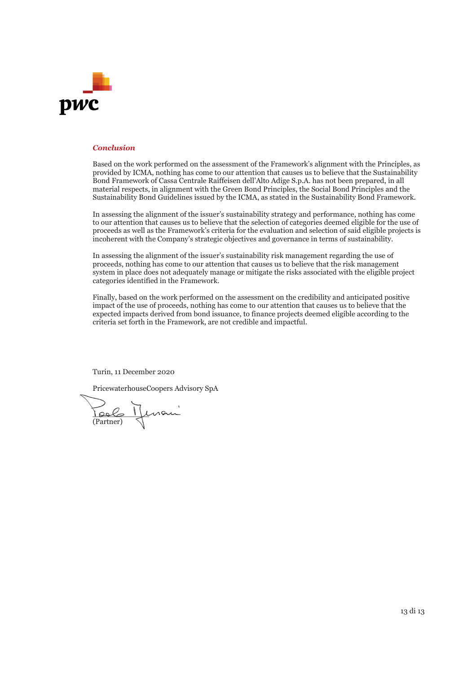

### *Conclusion*

Based on the work performed on the assessment of the Framework's alignment with the Principles, as provided by ICMA, nothing has come to our attention that causes us to believe that the Sustainability Bond Framework of Cassa Centrale Raiffeisen dell'Alto Adige S.p.A. has not been prepared, in all material respects, in alignment with the Green Bond Principles, the Social Bond Principles and the Sustainability Bond Guidelines issued by the ICMA, as stated in the Sustainability Bond Framework.

In assessing the alignment of the issuer's sustainability strategy and performance, nothing has come to our attention that causes us to believe that the selection of categories deemed eligible for the use of proceeds as well as the Framework's criteria for the evaluation and selection of said eligible projects is incoherent with the Company's strategic objectives and governance in terms of sustainability.

In assessing the alignment of the issuer's sustainability risk management regarding the use of proceeds, nothing has come to our attention that causes us to believe that the risk management system in place does not adequately manage or mitigate the risks associated with the eligible project categories identified in the Framework.

Finally, based on the work performed on the assessment on the credibility and anticipated positive impact of the use of proceeds, nothing has come to our attention that causes us to believe that the expected impacts derived from bond issuance, to finance projects deemed eligible according to the criteria set forth in the Framework, are not credible and impactful.

Turin, 11 December 2020

PricewaterhouseCoopers Advisory SpA

\_\_\_\_\_\_\_\_\_\_\_\_ (Partner)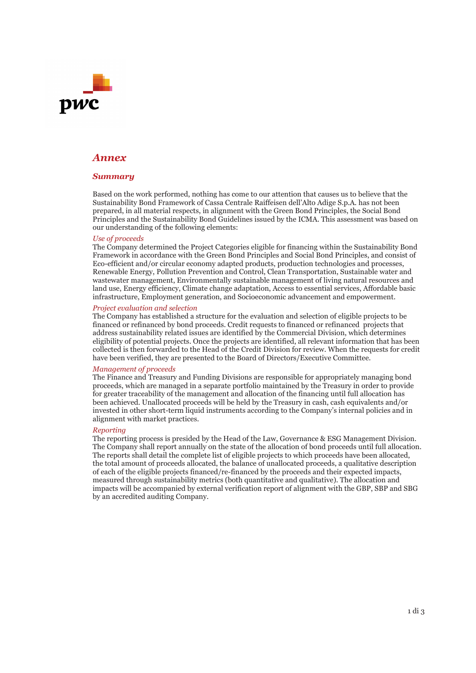# DWC

### *Annex*

### *Summary*

Based on the work performed, nothing has come to our attention that causes us to believe that the Sustainability Bond Framework of Cassa Centrale Raiffeisen dell'Alto Adige S.p.A. has not been prepared, in all material respects, in alignment with the Green Bond Principles, the Social Bond Principles and the Sustainability Bond Guidelines issued by the ICMA. This assessment was based on our understanding of the following elements:

### *Use of proceeds*

The Company determined the Project Categories eligible for financing within the Sustainability Bond Framework in accordance with the Green Bond Principles and Social Bond Principles, and consist of Eco-efficient and/or circular economy adapted products, production technologies and processes, Renewable Energy, Pollution Prevention and Control, Clean Transportation, Sustainable water and wastewater management, Environmentally sustainable management of living natural resources and land use, Energy efficiency, Climate change adaptation, Access to essential services, Affordable basic infrastructure, Employment generation, and Socioeconomic advancement and empowerment.

### *Project evaluation and selection*

The Company has established a structure for the evaluation and selection of eligible projects to be financed or refinanced by bond proceeds. Credit requests to financed or refinanced projects that address sustainability related issues are identified by the Commercial Division, which determines eligibility of potential projects. Once the projects are identified, all relevant information that has been collected is then forwarded to the Head of the Credit Division for review. When the requests for credit have been verified, they are presented to the Board of Directors/Executive Committee.

### *Management of proceeds*

The Finance and Treasury and Funding Divisions are responsible for appropriately managing bond proceeds, which are managed in a separate portfolio maintained by the Treasury in order to provide for greater traceability of the management and allocation of the financing until full allocation has been achieved. Unallocated proceeds will be held by the Treasury in cash, cash equivalents and/or invested in other short-term liquid instruments according to the Company's internal policies and in alignment with market practices.

#### *Reporting*

The reporting process is presided by the Head of the Law, Governance & ESG Management Division. The Company shall report annually on the state of the allocation of bond proceeds until full allocation. The reports shall detail the complete list of eligible projects to which proceeds have been allocated, the total amount of proceeds allocated, the balance of unallocated proceeds, a qualitative description of each of the eligible projects financed/re-financed by the proceeds and their expected impacts, measured through sustainability metrics (both quantitative and qualitative). The allocation and impacts will be accompanied by external verification report of alignment with the GBP, SBP and SBG by an accredited auditing Company.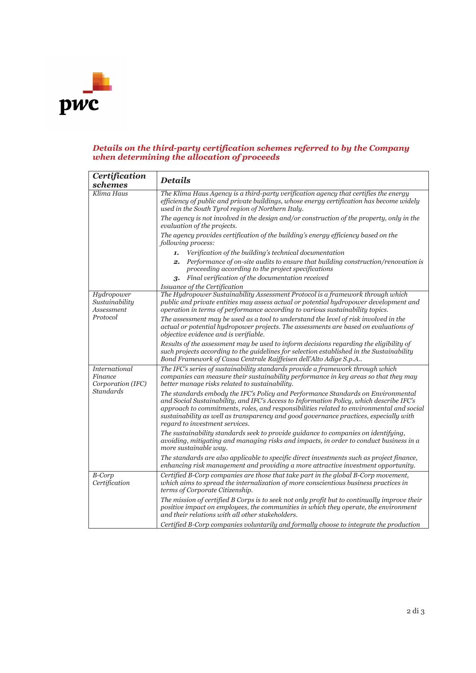

### *Details on the third-party certification schemes referred to by the Company when determining the allocation of proceeds*

| Certification<br>schemes                             | <b>Details</b>                                                                                                                                                                                                                                                                                                                                                                                     |  |  |  |
|------------------------------------------------------|----------------------------------------------------------------------------------------------------------------------------------------------------------------------------------------------------------------------------------------------------------------------------------------------------------------------------------------------------------------------------------------------------|--|--|--|
| Klima Haus                                           | The Klima Haus Agency is a third-party verification agency that certifies the energy<br>efficiency of public and private buildings, whose energy certification has become widely<br>used in the South Tyrol region of Northern Italy.                                                                                                                                                              |  |  |  |
|                                                      | The agency is not involved in the design and/or construction of the property, only in the<br>evaluation of the projects.                                                                                                                                                                                                                                                                           |  |  |  |
|                                                      | The agency provides certification of the building's energy efficiency based on the<br>following process:                                                                                                                                                                                                                                                                                           |  |  |  |
|                                                      | Verification of the building's technical documentation<br>1.                                                                                                                                                                                                                                                                                                                                       |  |  |  |
|                                                      | <b>2.</b> Performance of on-site audits to ensure that building construction/renovation is<br>proceeding according to the project specifications                                                                                                                                                                                                                                                   |  |  |  |
|                                                      | 3. Final verification of the documentation received                                                                                                                                                                                                                                                                                                                                                |  |  |  |
|                                                      | Issuance of the Certification                                                                                                                                                                                                                                                                                                                                                                      |  |  |  |
| Hydropower<br>Sustainability<br><b>Assessment</b>    | The Hydropower Sustainability Assessment Protocol is a framework through which<br>public and private entities may assess actual or potential hydropower development and<br>operation in terms of performance according to various sustainability topics.                                                                                                                                           |  |  |  |
| Protocol                                             | The assessment may be used as a tool to understand the level of risk involved in the<br>actual or potential hydropower projects. The assessments are based on evaluations of<br>objective evidence and is verifiable.                                                                                                                                                                              |  |  |  |
|                                                      | Results of the assessment may be used to inform decisions regarding the eligibility of<br>such projects according to the guidelines for selection established in the Sustainability<br>Bond Framework of Cassa Centrale Raiffeisen dell'Alto Adige S.p.A                                                                                                                                           |  |  |  |
| <b>International</b><br>Finance<br>Corporation (IFC) | The IFC's series of sustainability standards provide a framework through which<br>companies can measure their sustainability performance in key areas so that they may<br>better manage risks related to sustainability.                                                                                                                                                                           |  |  |  |
| Standards                                            | The standards embody the IFC's Policy and Performance Standards on Environmental<br>and Social Sustainability, and IFC's Access to Information Policy, which describe IFC's<br>approach to commitments, roles, and responsibilities related to environmental and social<br>sustainability as well as transparency and good governance practices, especially with<br>regard to investment services. |  |  |  |
|                                                      | The sustainability standards seek to provide guidance to companies on identifying,<br>avoiding, mitigating and managing risks and impacts, in order to conduct business in a<br>more sustainable way.                                                                                                                                                                                              |  |  |  |
|                                                      | The standards are also applicable to specific direct investments such as project finance,<br>enhancing risk management and providing a more attractive investment opportunity.                                                                                                                                                                                                                     |  |  |  |
| <b>B-Corp</b><br>Certification                       | Certified B-Corp companies are those that take part in the global B-Corp movement,<br>which aims to spread the internalization of more conscientious business practices in<br>terms of Corporate Citizenship.                                                                                                                                                                                      |  |  |  |
|                                                      | The mission of certified B Corps is to seek not only profit but to continually improve their<br>positive impact on employees, the communities in which they operate, the environment<br>and their relations with all other stakeholders.                                                                                                                                                           |  |  |  |
|                                                      | Certified B-Corp companies voluntarily and formally choose to integrate the production                                                                                                                                                                                                                                                                                                             |  |  |  |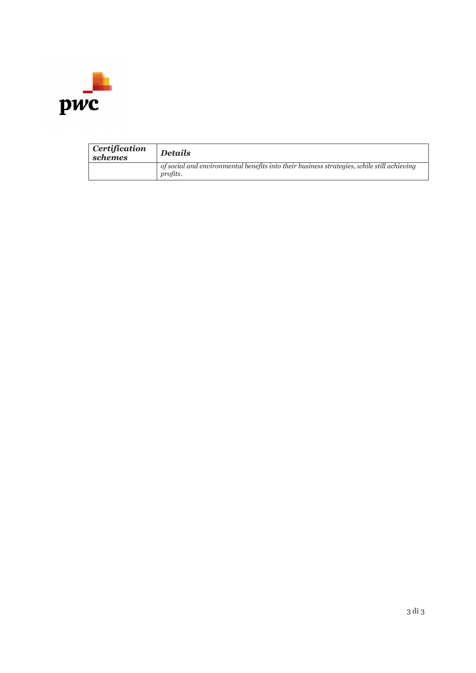

| Certification<br>schemes | <b>Details</b>                                                                                         |
|--------------------------|--------------------------------------------------------------------------------------------------------|
|                          | of social and environmental benefits into their business strategies, while still achieving<br>profits. |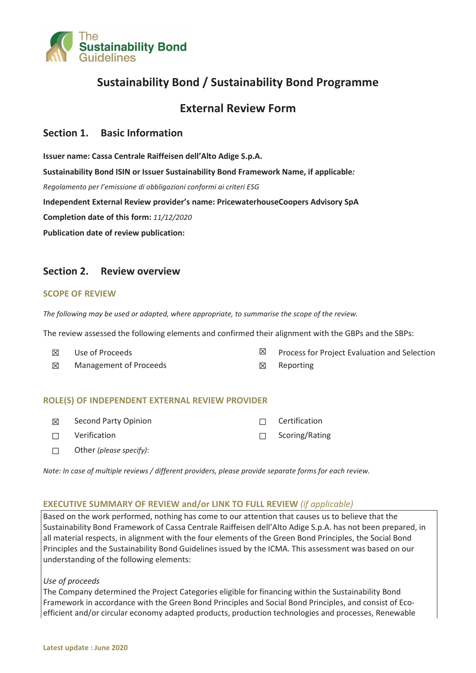

## **Sustainability Bond / Sustainability Bond Programme**

### **External Review Form**

### **Section 1. Basic Information**

**Issuer name: Cassa Centrale Raiffeisen dell'Alto Adige S.p.A. Sustainability Bond ISIN or Issuer Sustainability Bond Framework Name, if applicable***: Regolamento per l'emissione di obbligazioni conformi ai criteri ESG* **Independent External Review provider's name: PricewaterhouseCoopers Advisory SpA Completion date of this form:** *11/12/2020* **Publication date of review publication:** 

### **Section 2. Review overview**

### **SCOPE OF REVIEW**

*The following may be used or adapted, where appropriate, to summarise the scope of the review.* 

The review assessed the following elements and confirmed their alignment with the GBPs and the SBPs:

| $\boxtimes$ | Use of Proceeds        | $\boxtimes$ Process for Project Evaluation and Selection |
|-------------|------------------------|----------------------------------------------------------|
| 区           | Management of Proceeds | $\boxtimes$ Reporting                                    |

### **ROLE(S) OF INDEPENDENT EXTERNAL REVIEW PROVIDER**

| 冈      | Second Party Opinion    | $\Box$ Certification  |
|--------|-------------------------|-----------------------|
|        | $\Box$ Verification     | $\Box$ Scoring/Rating |
| $\Box$ | Other (please specify): |                       |

*Note: In case of multiple reviews / different providers, please provide separate forms for each review.* 

### **EXECUTIVE SUMMARY OF REVIEW and/or LINK TO FULL REVIEW** *(if applicable)*

Based on the work performed, nothing has come to our attention that causes us to believe that the Sustainability Bond Framework of Cassa Centrale Raiffeisen dell'Alto Adige S.p.A. has not been prepared, in all material respects, in alignment with the four elements of the Green Bond Principles, the Social Bond Principles and the Sustainability Bond Guidelines issued by the ICMA. This assessment was based on our understanding of the following elements:

### *Use of proceeds*

The Company determined the Project Categories eligible for financing within the Sustainability Bond Framework in accordance with the Green Bond Principles and Social Bond Principles, and consist of Ecoefficient and/or circular economy adapted products, production technologies and processes, Renewable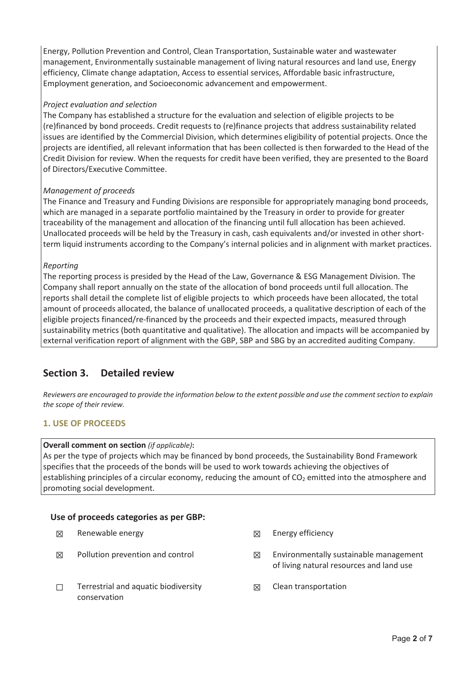Energy, Pollution Prevention and Control, Clean Transportation, Sustainable water and wastewater management, Environmentally sustainable management of living natural resources and land use, Energy efficiency, Climate change adaptation, Access to essential services, Affordable basic infrastructure, Employment generation, and Socioeconomic advancement and empowerment.

### *Project evaluation and selection*

The Company has established a structure for the evaluation and selection of eligible projects to be (re)financed by bond proceeds. Credit requests to (re)finance projects that address sustainability related issues are identified by the Commercial Division, which determines eligibility of potential projects. Once the projects are identified, all relevant information that has been collected is then forwarded to the Head of the Credit Division for review. When the requests for credit have been verified, they are presented to the Board of Directors/Executive Committee.

### *Management of proceeds*

The Finance and Treasury and Funding Divisions are responsible for appropriately managing bond proceeds, which are managed in a separate portfolio maintained by the Treasury in order to provide for greater traceability of the management and allocation of the financing until full allocation has been achieved. Unallocated proceeds will be held by the Treasury in cash, cash equivalents and/or invested in other shortterm liquid instruments according to the Company's internal policies and in alignment with market practices.

### *Reporting*

The reporting process is presided by the Head of the Law, Governance & ESG Management Division. The Company shall report annually on the state of the allocation of bond proceeds until full allocation. The reports shall detail the complete list of eligible projects to which proceeds have been allocated, the total amount of proceeds allocated, the balance of unallocated proceeds, a qualitative description of each of the eligible projects financed/re-financed by the proceeds and their expected impacts, measured through sustainability metrics (both quantitative and qualitative). The allocation and impacts will be accompanied by external verification report of alignment with the GBP, SBP and SBG by an accredited auditing Company.

### **Section 3. Detailed review**

*Reviewers are encouraged to provide the information below to the extent possible and use the comment section to explain the scope of their review.* 

### **1. USE OF PROCEEDS**

### **Overall comment on section** *(if applicable)***:**

As per the type of projects which may be financed by bond proceeds, the Sustainability Bond Framework specifies that the proceeds of the bonds will be used to work towards achieving the objectives of establishing principles of a circular economy, reducing the amount of  $CO<sub>2</sub>$  emitted into the atmosphere and promoting social development.

### **Use of proceeds categories as per GBP:**

- $\boxtimes$  Renewable energy  $\boxtimes$  Energy efficiency
- 
- $\Box$  Terrestrial and aquatic biodiversity conservation
- 
- $\boxtimes$  Pollution prevention and control  $\boxtimes$  Environmentally sustainable management of living natural resources and land use
	- $\boxtimes$  Clean transportation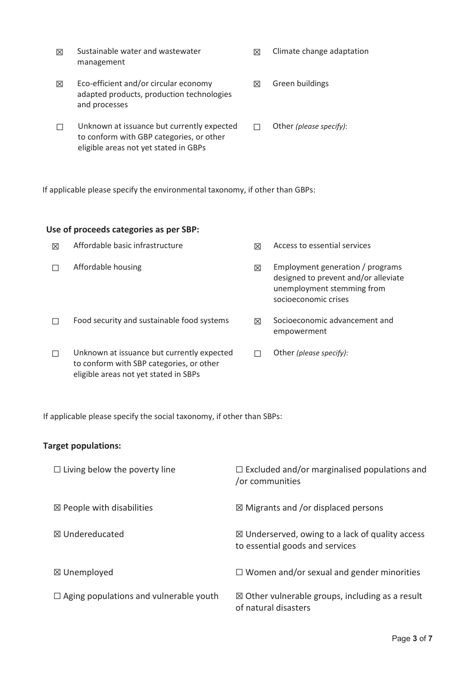- $\boxtimes$  Sustainable water and wastewater management  $\boxtimes$  Climate change adaptation
- $\boxtimes$  Eco-efficient and/or circular economy adapted products, production technologies and processes  $\boxtimes$  Green buildings
- $\Box$  Unknown at issuance but currently expected to conform with GBP categories, or other eligible areas not yet stated in GBPs տ Other *(please specify)*:

If applicable please specify the environmental taxonomy, if other than GBPs:

### **Use of proceeds categories as per SBP:**

| 冈      | Affordable basic infrastructure                                                                                                 | ⊠ | Access to essential services                                                                                                   |
|--------|---------------------------------------------------------------------------------------------------------------------------------|---|--------------------------------------------------------------------------------------------------------------------------------|
|        | Affordable housing                                                                                                              | 冈 | Employment generation / programs<br>designed to prevent and/or alleviate<br>unemployment stemming from<br>socioeconomic crises |
|        | Food security and sustainable food systems                                                                                      | ⊠ | Socioeconomic advancement and<br>empowerment                                                                                   |
| $\Box$ | Unknown at issuance but currently expected<br>to conform with SBP categories, or other<br>eligible areas not yet stated in SBPs |   | Other (please specify):                                                                                                        |

If applicable please specify the social taxonomy, if other than SBPs:

### **Target populations:**

| $\Box$ Living below the poverty line          | $\Box$ Excluded and/or marginalised populations and<br>/or communities                        |
|-----------------------------------------------|-----------------------------------------------------------------------------------------------|
| $\boxtimes$ People with disabilities          | $\boxtimes$ Migrants and /or displaced persons                                                |
| ⊠ Undereducated                               | $\boxtimes$ Underserved, owing to a lack of quality access<br>to essential goods and services |
| ⊠ Unemployed                                  | $\Box$ Women and/or sexual and gender minorities                                              |
| $\Box$ Aging populations and vulnerable youth | $\boxtimes$ Other vulnerable groups, including as a result<br>of natural disasters            |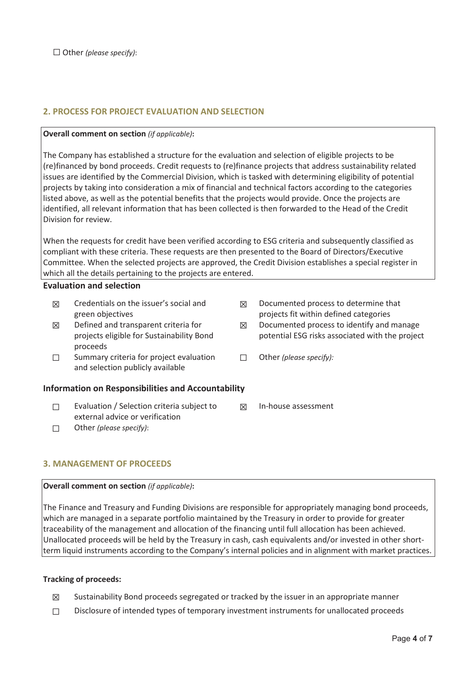### **2. PROCESS FOR PROJECT EVALUATION AND SELECTION**

### **Overall comment on section** *(if applicable)***:**

The Company has established a structure for the evaluation and selection of eligible projects to be (re)financed by bond proceeds. Credit requests to (re)finance projects that address sustainability related issues are identified by the Commercial Division, which is tasked with determining eligibility of potential projects by taking into consideration a mix of financial and technical factors according to the categories listed above, as well as the potential benefits that the projects would provide. Once the projects are identified, all relevant information that has been collected is then forwarded to the Head of the Credit Division for review.

When the requests for credit have been verified according to ESG criteria and subsequently classified as compliant with these criteria. These requests are then presented to the Board of Directors/Executive Committee. When the selected projects are approved, the Credit Division establishes a special register in which all the details pertaining to the projects are entered.

### **Evaluation and selection**

- $\boxtimes$  Credentials on the issuer's social and green objectives  $\boxtimes$  Documented process to determine that projects fit within defined categories  $\boxtimes$  Defined and transparent criteria for projects eligible for Sustainability Bond proceeds  $\boxtimes$  Documented process to identify and manage potential ESG risks associated with the project  $\Box$  Summary criteria for project evaluation and selection publicly available տ Other *(please specify):* **Information on Responsibilities and Accountability**   $\Box$  Evaluation / Selection criteria subject to **⊠** In-house assessment
	- external advice or verification տ Other *(please specify)*:

### **3. MANAGEMENT OF PROCEEDS**

### **Overall comment on section** *(if applicable)***:**

The Finance and Treasury and Funding Divisions are responsible for appropriately managing bond proceeds, which are managed in a separate portfolio maintained by the Treasury in order to provide for greater traceability of the management and allocation of the financing until full allocation has been achieved. Unallocated proceeds will be held by the Treasury in cash, cash equivalents and/or invested in other shortterm liquid instruments according to the Company's internal policies and in alignment with market practices.

### **Tracking of proceeds:**

- $\boxtimes$  Sustainability Bond proceeds segregated or tracked by the issuer in an appropriate manner
- $\Box$  Disclosure of intended types of temporary investment instruments for unallocated proceeds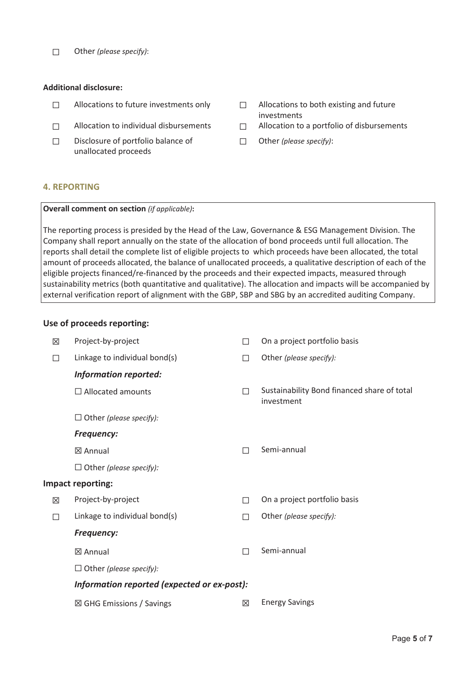տ Other *(please specify)*:

### **Additional disclosure:**

- $\Box$  Allocations to future investments only  $\Box$  Allocations to both existing and future
- 
- $\Box$  Disclosure of portfolio balance of unallocated proceeds
- investments
- $\Box$  Allocation to individual disbursements  $\Box$  Allocation to a portfolio of disbursements
	- տ Other *(please specify)*:

### **4. REPORTING**

### **Overall comment on section** *(if applicable)***:**

The reporting process is presided by the Head of the Law, Governance & ESG Management Division. The Company shall report annually on the state of the allocation of bond proceeds until full allocation. The reports shall detail the complete list of eligible projects to which proceeds have been allocated, the total amount of proceeds allocated, the balance of unallocated proceeds, a qualitative description of each of the eligible projects financed/re-financed by the proceeds and their expected impacts, measured through sustainability metrics (both quantitative and qualitative). The allocation and impacts will be accompanied by external verification report of alignment with the GBP, SBP and SBG by an accredited auditing Company.

### **Use of proceeds reporting:**

| 区 | Project-by-project                          | П           | On a project portfolio basis                              |
|---|---------------------------------------------|-------------|-----------------------------------------------------------|
| П | Linkage to individual bond(s)               | П           | Other (please specify):                                   |
|   | <b>Information reported:</b>                |             |                                                           |
|   | $\Box$ Allocated amounts                    | П           | Sustainability Bond financed share of total<br>investment |
|   | $\Box$ Other (please specify):              |             |                                                           |
|   | <b>Frequency:</b>                           |             |                                                           |
|   | ⊠ Annual                                    | П           | Semi-annual                                               |
|   | $\Box$ Other (please specify):              |             |                                                           |
|   | <b>Impact reporting:</b>                    |             |                                                           |
| 区 | Project-by-project                          | П           | On a project portfolio basis                              |
| П | Linkage to individual bond(s)               | П           | Other (please specify):                                   |
|   | <b>Frequency:</b>                           |             |                                                           |
|   | ⊠ Annual                                    | П           | Semi-annual                                               |
|   | $\Box$ Other (please specify):              |             |                                                           |
|   | Information reported (expected or ex-post): |             |                                                           |
|   | $\boxtimes$ GHG Emissions / Savings         | $\boxtimes$ | <b>Energy Savings</b>                                     |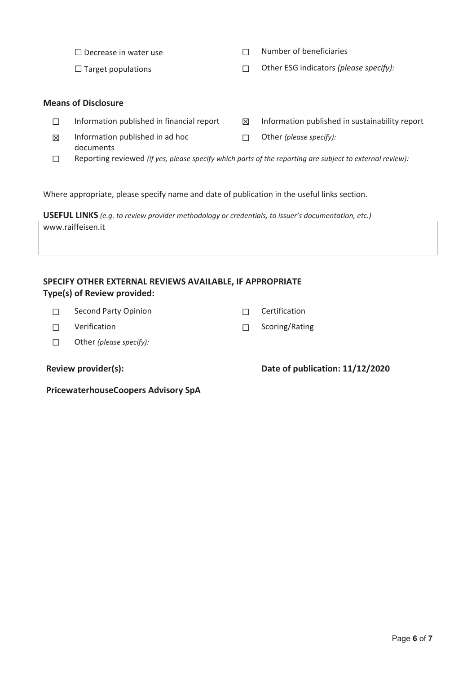$\neg$  Number of beneficiaries

տ Target populations տ Other ESG indicators *(please specify):*

### **Means of Disclosure**

- 
- $\Box$  Information published in financial report  $\boxtimes$  Information published in sustainability report
- $\boxtimes$  Information published in ad hoc documents տ Other *(please specify):*
- տ Reporting reviewed *(if yes, please specify which parts of the reporting are subject to external review):*

Where appropriate, please specify name and date of publication in the useful links section.

**USEFUL LINKS** *(e.g. to review provider methodology or credentials, to issuer's documentation, etc.)* www.raiffeisen.it

### **SPECIFY OTHER EXTERNAL REVIEWS AVAILABLE, IF APPROPRIATE Type(s) of Review provided:**

- $\Box$  Second Party Opinion  $\Box$  Certification
- $\Box$  Verification  $\Box$  Scoring/Rating
- տ Other *(please specify):*

**Review provider(s): Date of publication: 11/12/2020** 

**PricewaterhouseCoopers Advisory SpA**